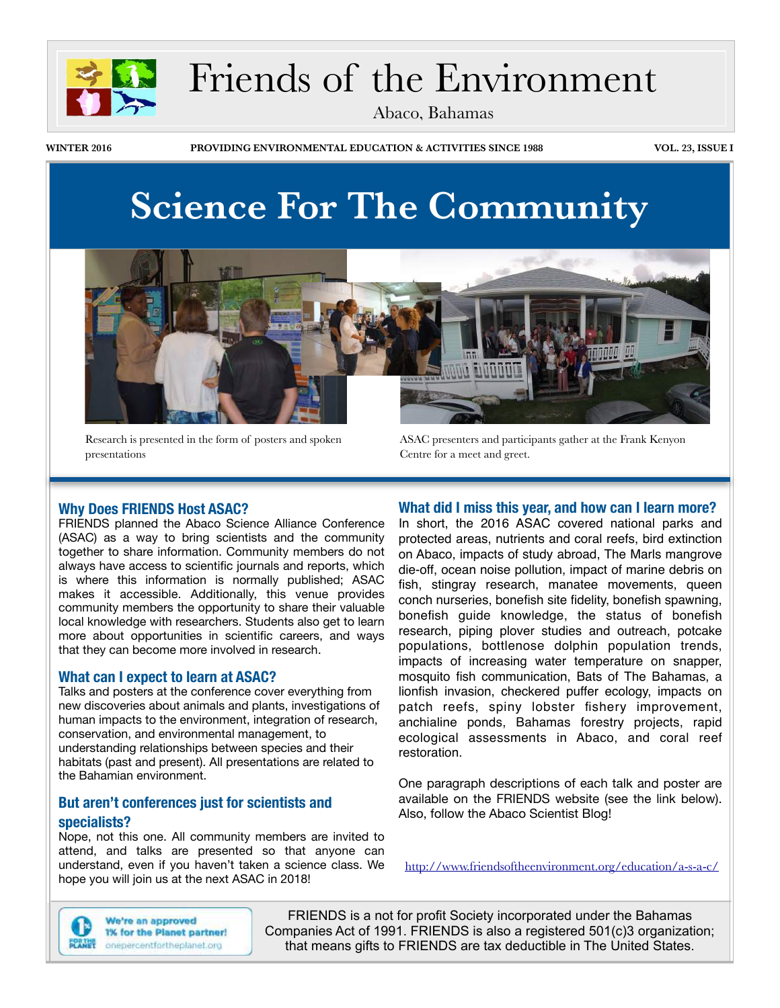

# Friends of the Environment

Abaco, Bahamas

**WINTER 2016 PROVIDING ENVIRONMENTAL EDUCATION & ACTIVITIES SINCE 1988 VOL. 23, ISSUE I**

# **Science For The Community**



Research is presented in the form of posters and spoken presentations

ASAC presenters and participants gather at the Frank Kenyon Centre for a meet and greet.

### **Why Does FRIENDS Host ASAC?**

FRIENDS planned the Abaco Science Alliance Conference (ASAC) as a way to bring scientists and the community together to share information. Community members do not always have access to scientific journals and reports, which is where this information is normally published; ASAC makes it accessible. Additionally, this venue provides community members the opportunity to share their valuable local knowledge with researchers. Students also get to learn more about opportunities in scientific careers, and ways that they can become more involved in research.

#### **What can I expect to learn at ASAC?**

Talks and posters at the conference cover everything from new discoveries about animals and plants, investigations of human impacts to the environment, integration of research, conservation, and environmental management, to understanding relationships between species and their habitats (past and present). All presentations are related to the Bahamian environment.

### **But aren't conferences just for scientists and specialists?**

Nope, not this one. All community members are invited to attend, and talks are presented so that anyone can understand, even if you haven't taken a science class. We hope you will join us at the next ASAC in 2018!

### **What did I miss this year, and how can I learn more?**

In short, the 2016 ASAC covered national parks and protected areas, nutrients and coral reefs, bird extinction on Abaco, impacts of study abroad, The Marls mangrove die-off, ocean noise pollution, impact of marine debris on fish, stingray research, manatee movements, queen conch nurseries, bonefish site fidelity, bonefish spawning, bonefish guide knowledge, the status of bonefish research, piping plover studies and outreach, potcake populations, bottlenose dolphin population trends, impacts of increasing water temperature on snapper, mosquito fish communication, Bats of The Bahamas, a lionfish invasion, checkered puffer ecology, impacts on patch reefs, spiny lobster fishery improvement, anchialine ponds, Bahamas forestry projects, rapid ecological assessments in Abaco, and coral reef restoration.

One paragraph descriptions of each talk and poster are available on the FRIENDS website (see the link below). Also, follow the Abaco Scientist Blog!

<http://www.friendsoftheenvironment.org/education/a-s-a-c/>



We're an approved 1% for the Planet partner! onepercentfortheplanet.org

FRIENDS is a not for profit Society incorporated under the Bahamas Companies Act of 1991. FRIENDS is also a registered 501(c)3 organization; that means gifts to FRIENDS are tax deductible in The United States.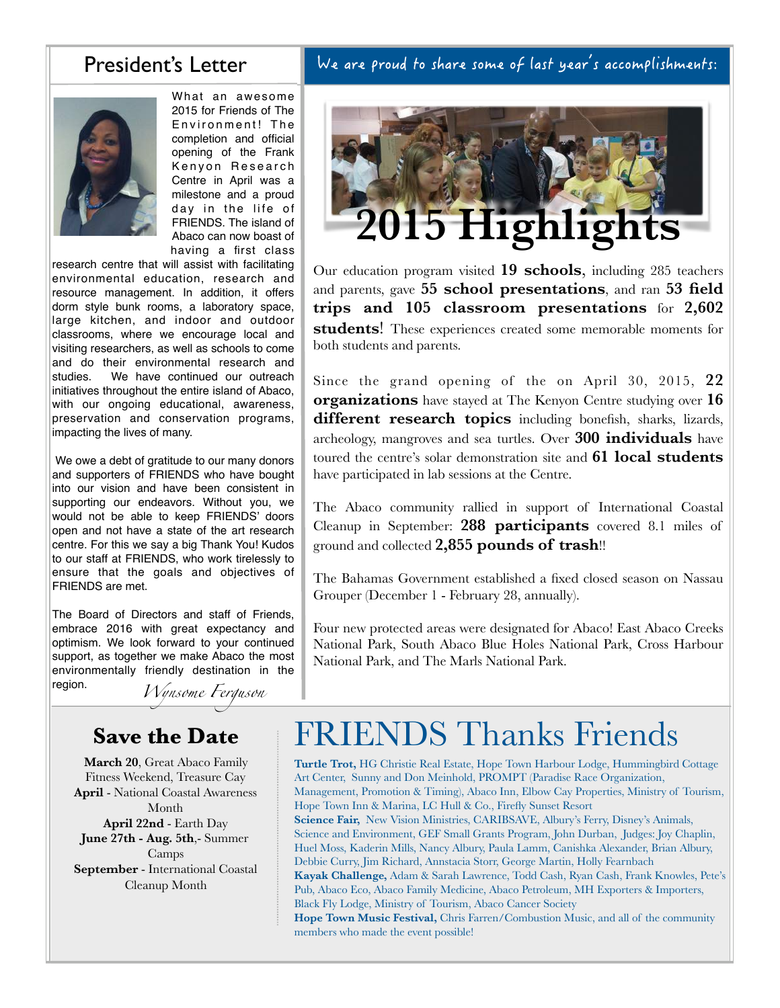### President's Letter

What an awesome 2015 for Friends of The Environment! The completion and official opening of the Frank Kenyon Research Centre in April was a milestone and a proud day in the life of FRIENDS. The island of Abaco can now boast of having a first class

research centre that will assist with facilitating environmental education, research and resource management. In addition, it offers dorm style bunk rooms, a laboratory space, large kitchen, and indoor and outdoor classrooms, where we encourage local and visiting researchers, as well as schools to come and do their environmental research and studies. We have continued our outreach initiatives throughout the entire island of Abaco, with our ongoing educational, awareness, preservation and conservation programs, impacting the lives of many.

 We owe a debt of gratitude to our many donors and supporters of FRIENDS who have bought into our vision and have been consistent in supporting our endeavors. Without you, we would not be able to keep FRIENDS' doors open and not have a state of the art research centre. For this we say a big Thank You! Kudos to our staff at FRIENDS, who work tirelessly to ensure that the goals and objectives of FRIENDS are met.

The Board of Directors and staff of Friends, embrace 2016 with great expectancy and optimism. We look forward to your continued support, as together we make Abaco the most environmentally friendly destination in the region.

*Wynsome Ferguson*

### **Save the Date**

**March 20**, Great Abaco Family Fitness Weekend, Treasure Cay **April** - National Coastal Awareness Month **April 22nd** - Earth Day **June 27th - Aug. 5th**,- Summer Camps **September** - International Coastal Cleanup Month

### We are proud to share some of last year's accomplishments:



Our education program visited **19 schools**, including 285 teachers and parents, gave **55 school presentations**, and ran **53 field trips and 105 classroom presentations** for **2,602 students**! These experiences created some memorable moments for both students and parents.

Since the grand opening of the on April 30, 2015, **22 organizations** have stayed at The Kenyon Centre studying over **16 different research topics** including bonefish, sharks, lizards, archeology, mangroves and sea turtles. Over **300 individuals** have toured the centre's solar demonstration site and **61 local students** have participated in lab sessions at the Centre.

The Abaco community rallied in support of International Coastal Cleanup in September: **288 participants** covered 8.1 miles of ground and collected **2,855 pounds of trash**!!

The Bahamas Government established a fixed closed season on Nassau Grouper (December 1 - February 28, annually).

Four new protected areas were designated for Abaco! East Abaco Creeks National Park, South Abaco Blue Holes National Park, Cross Harbour National Park, and The Marls National Park.

# FRIENDS Thanks Friends

**Turtle Trot,** HG Christie Real Estate, Hope Town Harbour Lodge, Hummingbird Cottage Art Center, Sunny and Don Meinhold, PROMPT (Paradise Race Organization, Management, Promotion & Timing), Abaco Inn, Elbow Cay Properties, Ministry of Tourism, Hope Town Inn & Marina, LC Hull & Co., Firefly Sunset Resort **Science Fair,** New Vision Ministries, CARIBSAVE, Albury's Ferry, Disney's Animals, Science and Environment, GEF Small Grants Program, John Durban, Judges: Joy Chaplin, Huel Moss, Kaderin Mills, Nancy Albury, Paula Lamm, Canishka Alexander, Brian Albury, Debbie Curry, Jim Richard, Annstacia Storr, George Martin, Holly Fearnbach **Kayak Challenge,** Adam & Sarah Lawrence, Todd Cash, Ryan Cash, Frank Knowles, Pete's Pub, Abaco Eco, Abaco Family Medicine, Abaco Petroleum, MH Exporters & Importers, Black Fly Lodge, Ministry of Tourism, Abaco Cancer Society **Hope Town Music Festival,** Chris Farren/Combustion Music, and all of the community members who made the event possible!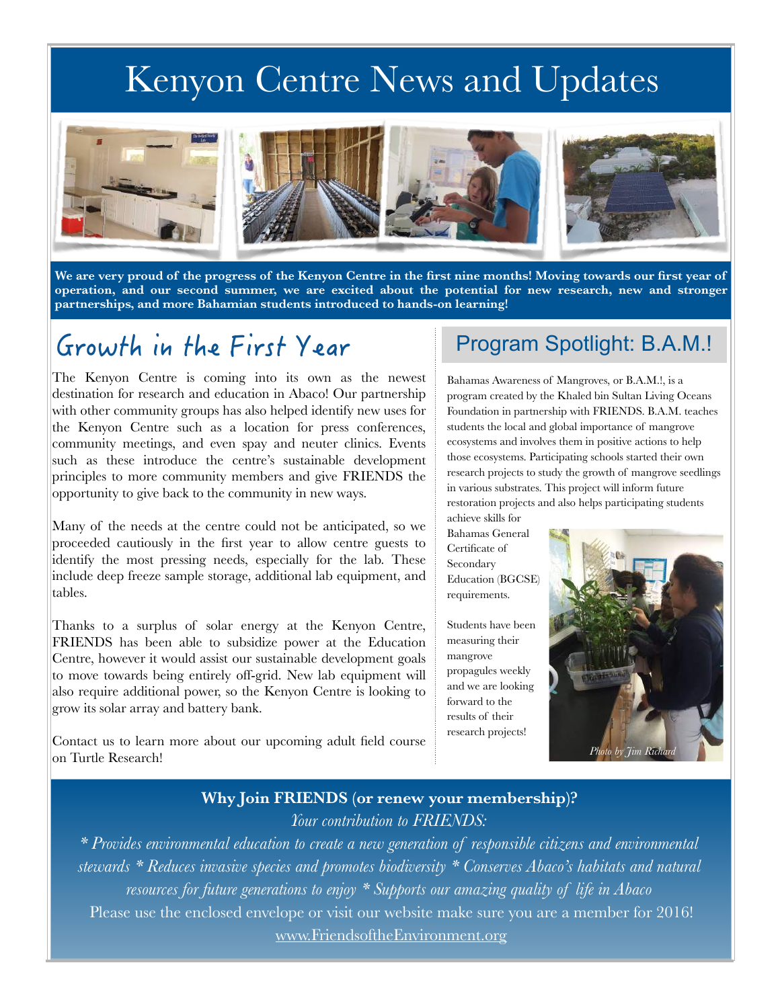# Kenyon Centre News and Updates



**We are very proud of the progress of the Kenyon Centre in the first nine months! Moving towards our first year of operation, and our second summer, we are excited about the potential for new research, new and stronger partnerships, and more Bahamian students introduced to hands-on learning!**

## Growth in the First Year

The Kenyon Centre is coming into its own as the newest destination for research and education in Abaco! Our partnership with other community groups has also helped identify new uses for the Kenyon Centre such as a location for press conferences, community meetings, and even spay and neuter clinics. Events such as these introduce the centre's sustainable development principles to more community members and give FRIENDS the opportunity to give back to the community in new ways.

Many of the needs at the centre could not be anticipated, so we proceeded cautiously in the first year to allow centre guests to identify the most pressing needs, especially for the lab. These include deep freeze sample storage, additional lab equipment, and tables.

Thanks to a surplus of solar energy at the Kenyon Centre, FRIENDS has been able to subsidize power at the Education Centre, however it would assist our sustainable development goals to move towards being entirely off-grid. New lab equipment will also require additional power, so the Kenyon Centre is looking to grow its solar array and battery bank.

Contact us to learn more about our upcoming adult field course on Turtle Research!

### Program Spotlight: B.A.M.!

Bahamas Awareness of Mangroves, or B.A.M.!, is a program created by the Khaled bin Sultan Living Oceans Foundation in partnership with FRIENDS. B.A.M. teaches students the local and global importance of mangrove ecosystems and involves them in positive actions to help those ecosystems. Participating schools started their own research projects to study the growth of mangrove seedlings in various substrates. This project will inform future restoration projects and also helps participating students achieve skills for

Bahamas General Certificate of Secondary Education (BGCSE) requirements.

Students have been measuring their mangrove propagules weekly and we are looking forward to the results of their research projects!



### **Why Join FRIENDS (or renew your membership)?**  *Your contribution to FRIENDS:*

*\* Provides environmental education to create a new generation of responsible citizens and environmental stewards \* Reduces invasive species and promotes biodiversity \* Conserves Abaco's habitats and natural resources for future generations to enjoy \* Supports our amazing quality of life in Abaco*  Please use the enclosed envelope or visit our website make sure you are a member for 2016! [www.FriendsoftheEnvironment.org](http://www.FriendsoftheEnvironment.o)